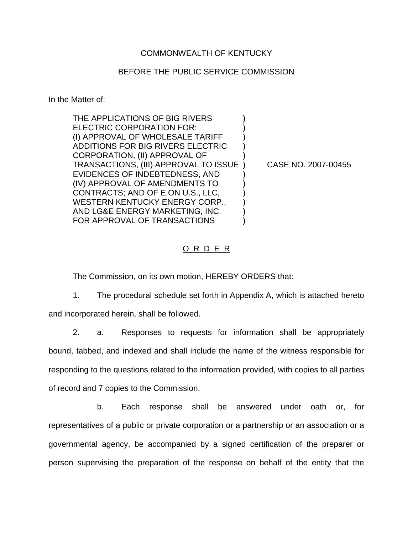## COMMONWEALTH OF KENTUCKY

## BEFORE THE PUBLIC SERVICE COMMISSION

In the Matter of:

THE APPLICATIONS OF BIG RIVERS ELECTRIC CORPORATION FOR: (I) APPROVAL OF WHOLESALE TARIFF ) ADDITIONS FOR BIG RIVERS ELECTRIC ) CORPORATION, (II) APPROVAL OF ) TRANSACTIONS, (III) APPROVAL TO ISSUE ) CASE NO. 2007-00455 EVIDENCES OF INDEBTEDNESS, AND ) (IV) APPROVAL OF AMENDMENTS TO ) CONTRACTS; AND OF E.ON U.S., LLC, ) WESTERN KENTUCKY ENERGY CORP., AND LG&E ENERGY MARKETING, INC. ) FOR APPROVAL OF TRANSACTIONS

#### O R D E R

The Commission, on its own motion, HEREBY ORDERS that:

1. The procedural schedule set forth in Appendix A, which is attached hereto and incorporated herein, shall be followed.

2. a. Responses to requests for information shall be appropriately bound, tabbed, and indexed and shall include the name of the witness responsible for responding to the questions related to the information provided, with copies to all parties of record and 7 copies to the Commission.

b. Each response shall be answered under oath or, for representatives of a public or private corporation or a partnership or an association or a governmental agency, be accompanied by a signed certification of the preparer or person supervising the preparation of the response on behalf of the entity that the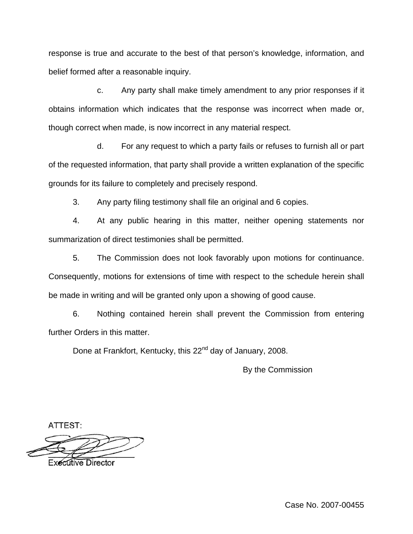response is true and accurate to the best of that person's knowledge, information, and belief formed after a reasonable inquiry.

c. Any party shall make timely amendment to any prior responses if it obtains information which indicates that the response was incorrect when made or, though correct when made, is now incorrect in any material respect.

d. For any request to which a party fails or refuses to furnish all or part of the requested information, that party shall provide a written explanation of the specific grounds for its failure to completely and precisely respond.

3. Any party filing testimony shall file an original and 6 copies.

4. At any public hearing in this matter, neither opening statements nor summarization of direct testimonies shall be permitted.

5. The Commission does not look favorably upon motions for continuance. Consequently, motions for extensions of time with respect to the schedule herein shall be made in writing and will be granted only upon a showing of good cause.

6. Nothing contained herein shall prevent the Commission from entering further Orders in this matter.

Done at Frankfort, Kentucky, this 22<sup>nd</sup> day of January, 2008.

By the Commission

ATTEST:

**Executive Director** 

Case No. 2007-00455